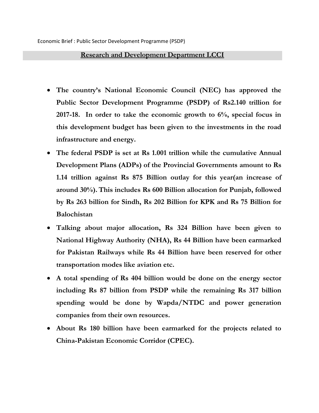## **Research and Development Department LCCI**

- **The country's National Economic Council (NEC) has approved the Public Sector Development Programme (PSDP) of Rs2.140 trillion for 2017-18. In order to take the economic growth to 6%, special focus in this development budget has been given to the investments in the road infrastructure and energy.**
- **The federal PSDP is set at Rs 1.001 trillion while the cumulative Annual Development Plans (ADPs) of the Provincial Governments amount to Rs 1.14 trillion against Rs 875 Billion outlay for this year(an increase of around 30%). This includes Rs 600 Billion allocation for Punjab, followed by Rs 263 billion for Sindh, Rs 202 Billion for KPK and Rs 75 Billion for Balochistan**
- **Talking about major allocation, Rs 324 Billion have been given to National Highway Authority (NHA), Rs 44 Billion have been earmarked for Pakistan Railways while Rs 44 Billion have been reserved for other transportation modes like aviation etc.**
- **A total spending of Rs 404 billion would be done on the energy sector including Rs 87 billion from PSDP while the remaining Rs 317 billion spending would be done by Wapda/NTDC and power generation companies from their own resources.**
- **About Rs 180 billion have been earmarked for the projects related to China-Pakistan Economic Corridor (CPEC).**